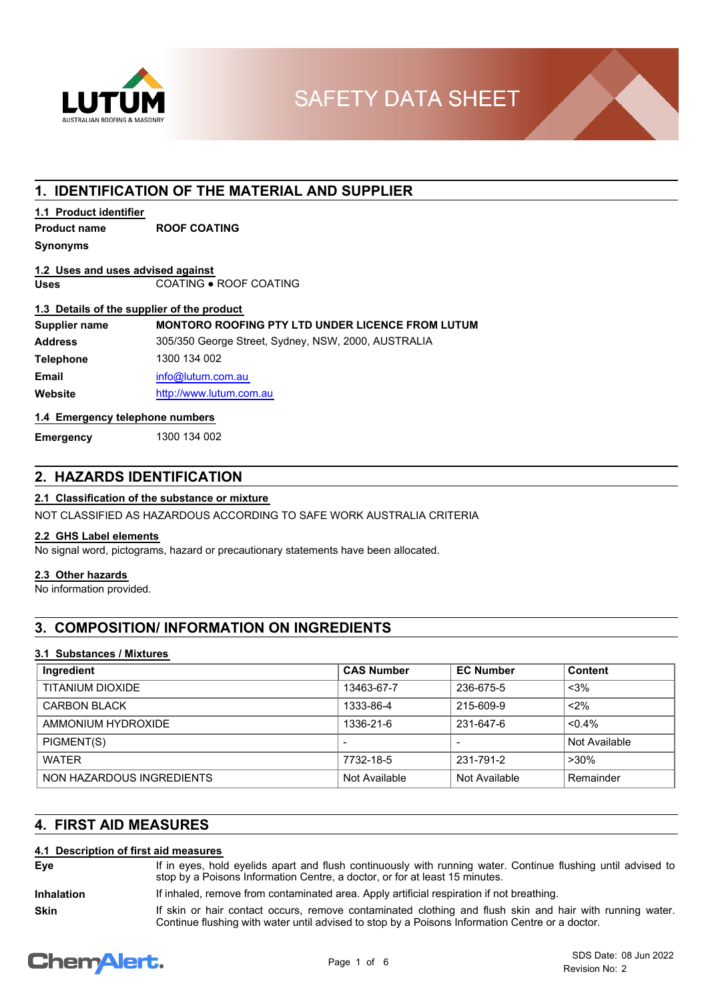

# **1. IDENTIFICATION OF THE MATERIAL AND SUPPLIER**

## **1.1 Product identifier**

**Product name ROOF COATING**

#### **Synonyms**

#### **Uses** COATING ● ROOF COATING **1.2 Uses and uses advised against**

#### **1.3 Details of the supplier of the product**

| Supplier name    | <b>MONTORO ROOFING PTY LTD UNDER LICENCE FROM LUTUM</b> |
|------------------|---------------------------------------------------------|
| <b>Address</b>   | 305/350 George Street, Sydney, NSW, 2000, AUSTRALIA     |
| <b>Telephone</b> | 1300 134 002                                            |
| <b>Email</b>     | info@lutum.com.au                                       |
| Website          | http://www.lutum.com.au                                 |

## **1.4 Emergency telephone numbers**

**Emergency** 1300 134 002

# **2. HAZARDS IDENTIFICATION**

## **2.1 Classification of the substance or mixture**

NOT CLASSIFIED AS HAZARDOUS ACCORDING TO SAFE WORK AUSTRALIA CRITERIA

#### **2.2 GHS Label elements**

No signal word, pictograms, hazard or precautionary statements have been allocated.

### **2.3 Other hazards**

No information provided.

# **3. COMPOSITION/ INFORMATION ON INGREDIENTS**

## **3.1 Substances / Mixtures**

| Ingredient                | <b>CAS Number</b>        | <b>EC Number</b>         | <b>Content</b> |
|---------------------------|--------------------------|--------------------------|----------------|
| TITANIUM DIOXIDE          | 13463-67-7               | 236-675-5                | $<$ 3%         |
| <b>CARBON BLACK</b>       | 1333-86-4                | 215-609-9                | $2\%$          |
| AMMONIUM HYDROXIDE        | 1336-21-6                | 231-647-6                | $< 0.4\%$      |
| PIGMENT(S)                | $\overline{\phantom{0}}$ | $\overline{\phantom{0}}$ | Not Available  |
| <b>WATER</b>              | 7732-18-5                | 231-791-2                | $>30\%$        |
| NON HAZARDOUS INGREDIENTS | Not Available            | Not Available            | Remainder      |

# **4. FIRST AID MEASURES**

#### **4.1 Description of first aid measures**

If in eyes, hold eyelids apart and flush continuously with running water. Continue flushing until advised to stop by a Poisons Information Centre, a doctor, or for at least 15 minutes. **Eye**

**Inhalation** If inhaled, remove from contaminated area. Apply artificial respiration if not breathing.

If skin or hair contact occurs, remove contaminated clothing and flush skin and hair with running water. Continue flushing with water until advised to stop by a Poisons Information Centre or a doctor.

# **ChemAlert.**

**Skin**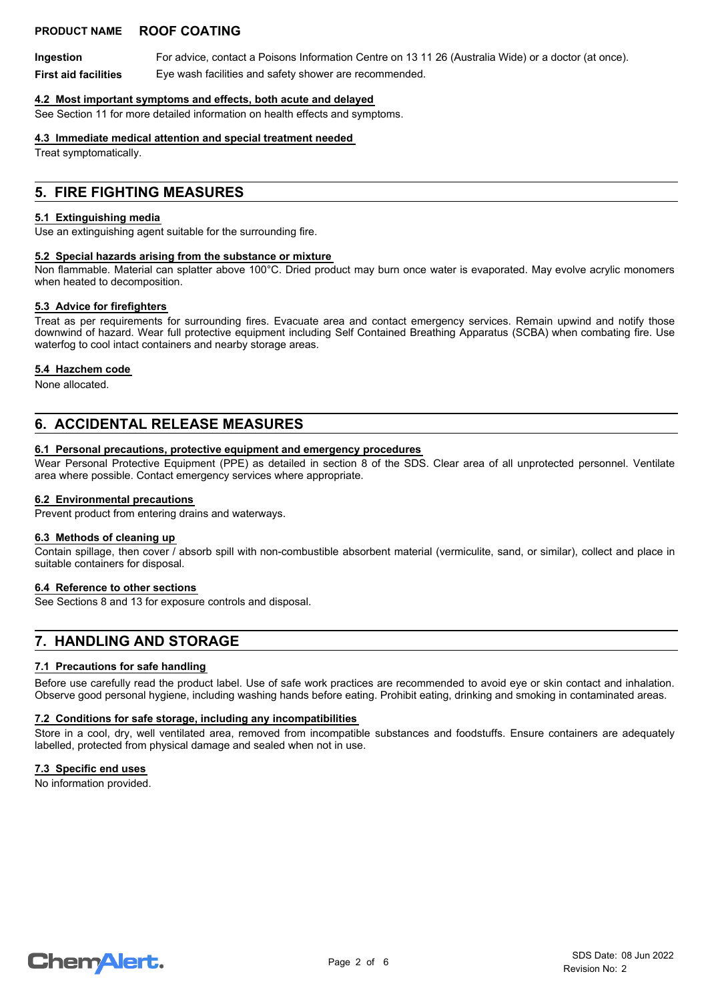## **PRODUCT NAME ROOF COATING**

**Ingestion** For advice, contact a Poisons Information Centre on 13 11 26 (Australia Wide) or a doctor (at once). **First aid facilities** Eye wash facilities and safety shower are recommended.

#### **4.2 Most important symptoms and effects, both acute and delayed**

See Section 11 for more detailed information on health effects and symptoms.

#### **4.3 Immediate medical attention and special treatment needed**

Treat symptomatically.

## **5. FIRE FIGHTING MEASURES**

#### **5.1 Extinguishing media**

Use an extinguishing agent suitable for the surrounding fire.

#### **5.2 Special hazards arising from the substance or mixture**

Non flammable. Material can splatter above 100°C. Dried product may burn once water is evaporated. May evolve acrylic monomers when heated to decomposition.

#### **5.3 Advice for firefighters**

Treat as per requirements for surrounding fires. Evacuate area and contact emergency services. Remain upwind and notify those downwind of hazard. Wear full protective equipment including Self Contained Breathing Apparatus (SCBA) when combating fire. Use waterfog to cool intact containers and nearby storage areas.

#### **5.4 Hazchem code**

None allocated.

# **6. ACCIDENTAL RELEASE MEASURES**

#### **6.1 Personal precautions, protective equipment and emergency procedures**

Wear Personal Protective Equipment (PPE) as detailed in section 8 of the SDS. Clear area of all unprotected personnel. Ventilate area where possible. Contact emergency services where appropriate.

#### **6.2 Environmental precautions**

Prevent product from entering drains and waterways.

#### **6.3 Methods of cleaning up**

Contain spillage, then cover / absorb spill with non-combustible absorbent material (vermiculite, sand, or similar), collect and place in suitable containers for disposal.

#### **6.4 Reference to other sections**

See Sections 8 and 13 for exposure controls and disposal.

# **7. HANDLING AND STORAGE**

#### **7.1 Precautions for safe handling**

Before use carefully read the product label. Use of safe work practices are recommended to avoid eye or skin contact and inhalation. Observe good personal hygiene, including washing hands before eating. Prohibit eating, drinking and smoking in contaminated areas.

#### **7.2 Conditions for safe storage, including any incompatibilities**

Store in a cool, dry, well ventilated area, removed from incompatible substances and foodstuffs. Ensure containers are adequately labelled, protected from physical damage and sealed when not in use.

#### **7.3 Specific end uses**

No information provided.

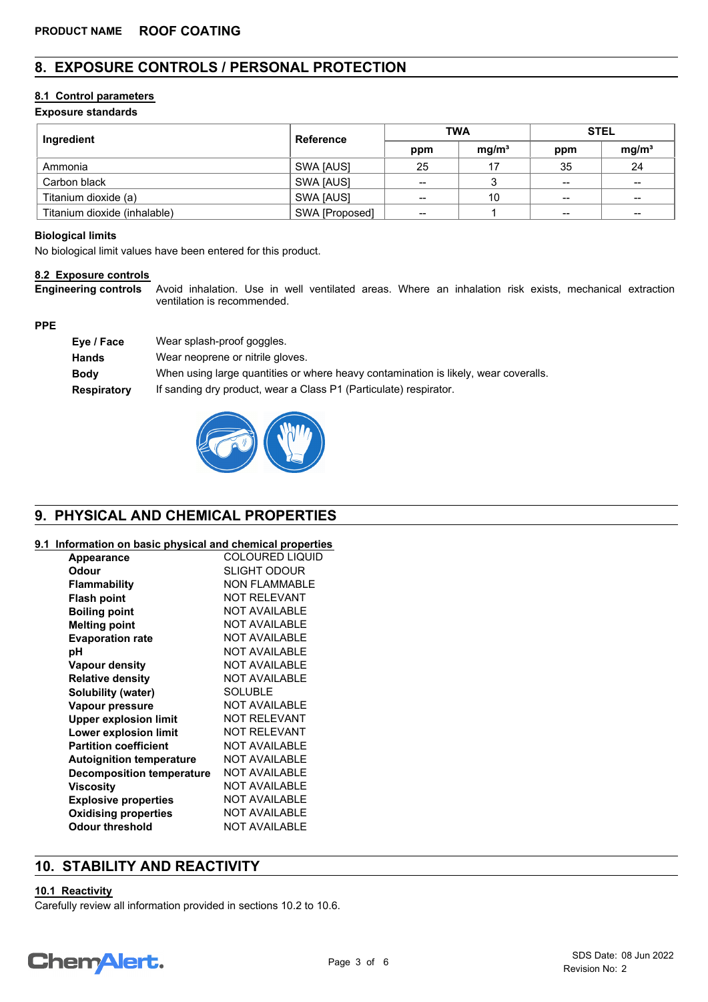# **8. EXPOSURE CONTROLS / PERSONAL PROTECTION**

## **8.1 Control parameters**

### **Exposure standards**

| Ingredient                   | <b>Reference</b> | <b>TWA</b> |                   | <b>STEL</b>              |                   |
|------------------------------|------------------|------------|-------------------|--------------------------|-------------------|
|                              |                  | ppm        | mg/m <sup>3</sup> | ppm                      | mg/m <sup>3</sup> |
| Ammonia                      | SWA [AUS]        | 25         | 17                | 35                       | 24                |
| Carbon black                 | SWA [AUS]        | $- -$      |                   | $-$                      | $\sim$            |
| Titanium dioxide (a)         | SWA [AUS]        | --         | 10                | $\overline{\phantom{a}}$ | $\qquad \qquad$   |
| Titanium dioxide (inhalable) | SWA [Proposed]   | --         |                   | $\qquad \qquad$          | $- -$             |

#### **Biological limits**

No biological limit values have been entered for this product.

#### **8.2 Exposure controls**

Avoid inhalation. Use in well ventilated areas. Where an inhalation risk exists, mechanical extraction ventilation is recommended. **Engineering controls**

#### **PPE**

| Eye / Face         | Wear splash-proof goggles.                                                          |
|--------------------|-------------------------------------------------------------------------------------|
| <b>Hands</b>       | Wear neoprene or nitrile gloves.                                                    |
| <b>Body</b>        | When using large quantities or where heavy contamination is likely, wear coveralls. |
| <b>Respiratory</b> | If sanding dry product, wear a Class P1 (Particulate) respirator.                   |



# **9. PHYSICAL AND CHEMICAL PROPERTIES**

#### **9.1 Information on basic physical and chemical properties**

| <b>Appearance</b>                | <b>COLOURED LIQUID</b> |
|----------------------------------|------------------------|
| Odour                            | SLIGHT ODOUR           |
| Flammability                     | <b>NON FLAMMABLE</b>   |
| <b>Flash point</b>               | <b>NOT RELEVANT</b>    |
| <b>Boiling point</b>             | <b>NOT AVAILABLE</b>   |
| <b>Melting point</b>             | NOT AVAILABLE          |
| <b>Evaporation rate</b>          | <b>NOT AVAILABLE</b>   |
| рH                               | NOT AVAILABLE          |
| <b>Vapour density</b>            | <b>NOT AVAILABLE</b>   |
| <b>Relative density</b>          | NOT AVAILABLE          |
| Solubility (water)               | <b>SOLUBLE</b>         |
| Vapour pressure                  | <b>NOT AVAILABLE</b>   |
| <b>Upper explosion limit</b>     | <b>NOT RELEVANT</b>    |
| Lower explosion limit            | <b>NOT RELEVANT</b>    |
| <b>Partition coefficient</b>     | <b>NOT AVAILABLE</b>   |
| <b>Autoignition temperature</b>  | <b>NOT AVAILABLE</b>   |
| <b>Decomposition temperature</b> | <b>NOT AVAILABLE</b>   |
| Viscosity                        | <b>NOT AVAILABLE</b>   |
| <b>Explosive properties</b>      | <b>NOT AVAILABLE</b>   |
| <b>Oxidising properties</b>      | <b>NOT AVAILABLE</b>   |
| <b>Odour threshold</b>           | <b>NOT AVAILABLE</b>   |
|                                  |                        |

# **10. STABILITY AND REACTIVITY**

## **10.1 Reactivity**

Carefully review all information provided in sections 10.2 to 10.6.

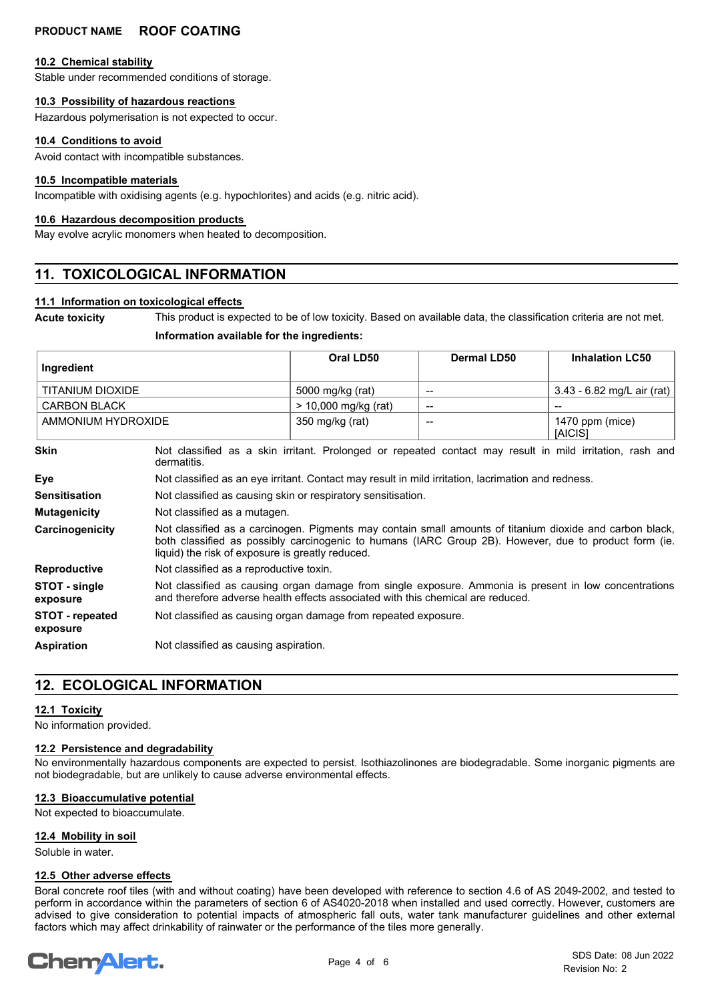## **PRODUCT NAME ROOF COATING**

#### **10.2 Chemical stability**

Stable under recommended conditions of storage.

#### **10.3 Possibility of hazardous reactions**

Hazardous polymerisation is not expected to occur.

#### **10.4 Conditions to avoid**

Avoid contact with incompatible substances.

#### **10.5 Incompatible materials**

Incompatible with oxidising agents (e.g. hypochlorites) and acids (e.g. nitric acid).

#### **10.6 Hazardous decomposition products**

May evolve acrylic monomers when heated to decomposition.

# **11. TOXICOLOGICAL INFORMATION**

#### **11.1 Information on toxicological effects**

**Acute toxicity** This product is expected to be of low toxicity. Based on available data, the classification criteria are not met.

#### **Information available for the ingredients:**

| Ingredient                         |                                                                                                                                                                                                                                                                       | Oral LD50              | <b>Dermal LD50</b>       | <b>Inhalation LC50</b>               |
|------------------------------------|-----------------------------------------------------------------------------------------------------------------------------------------------------------------------------------------------------------------------------------------------------------------------|------------------------|--------------------------|--------------------------------------|
| TITANIUM DIOXIDE                   |                                                                                                                                                                                                                                                                       | 5000 mg/kg (rat)       | --                       | 3.43 - $6.82 \text{ mg/L}$ air (rat) |
| <b>CARBON BLACK</b>                |                                                                                                                                                                                                                                                                       | $> 10,000$ mg/kg (rat) | $\overline{\phantom{a}}$ |                                      |
| AMMONIUM HYDROXIDE                 |                                                                                                                                                                                                                                                                       | 350 mg/kg (rat)        |                          | 1470 ppm (mice)<br>[AICIS]           |
| Skin                               | Not classified as a skin irritant. Prolonged or repeated contact may result in mild irritation, rash and<br>dermatitis.                                                                                                                                               |                        |                          |                                      |
| Eye                                | Not classified as an eye irritant. Contact may result in mild irritation, lacrimation and redness.                                                                                                                                                                    |                        |                          |                                      |
| <b>Sensitisation</b>               | Not classified as causing skin or respiratory sensitisation.                                                                                                                                                                                                          |                        |                          |                                      |
| <b>Mutagenicity</b>                | Not classified as a mutagen.                                                                                                                                                                                                                                          |                        |                          |                                      |
| Carcinogenicity                    | Not classified as a carcinogen. Pigments may contain small amounts of titanium dioxide and carbon black,<br>both classified as possibly carcinogenic to humans (IARC Group 2B). However, due to product form (ie.<br>liquid) the risk of exposure is greatly reduced. |                        |                          |                                      |
| <b>Reproductive</b>                | Not classified as a reproductive toxin.                                                                                                                                                                                                                               |                        |                          |                                      |
| STOT - single<br>exposure          | Not classified as causing organ damage from single exposure. Ammonia is present in low concentrations<br>and therefore adverse health effects associated with this chemical are reduced.                                                                              |                        |                          |                                      |
| <b>STOT</b> - repeated<br>exposure | Not classified as causing organ damage from repeated exposure.                                                                                                                                                                                                        |                        |                          |                                      |
| <b>Aspiration</b>                  | Not classified as causing aspiration.                                                                                                                                                                                                                                 |                        |                          |                                      |

# **12. ECOLOGICAL INFORMATION**

#### **12.1 Toxicity**

No information provided.

#### **12.2 Persistence and degradability**

No environmentally hazardous components are expected to persist. Isothiazolinones are biodegradable. Some inorganic pigments are not biodegradable, but are unlikely to cause adverse environmental effects.

#### **12.3 Bioaccumulative potential**

Not expected to bioaccumulate.

#### **12.4 Mobility in soil**

Soluble in water.

#### **12.5 Other adverse effects**

Boral concrete roof tiles (with and without coating) have been developed with reference to section 4.6 of AS 2049-2002, and tested to perform in accordance within the parameters of section 6 of AS4020-2018 when installed and used correctly. However, customers are advised to give consideration to potential impacts of atmospheric fall outs, water tank manufacturer guidelines and other external factors which may affect drinkability of rainwater or the performance of the tiles more generally.

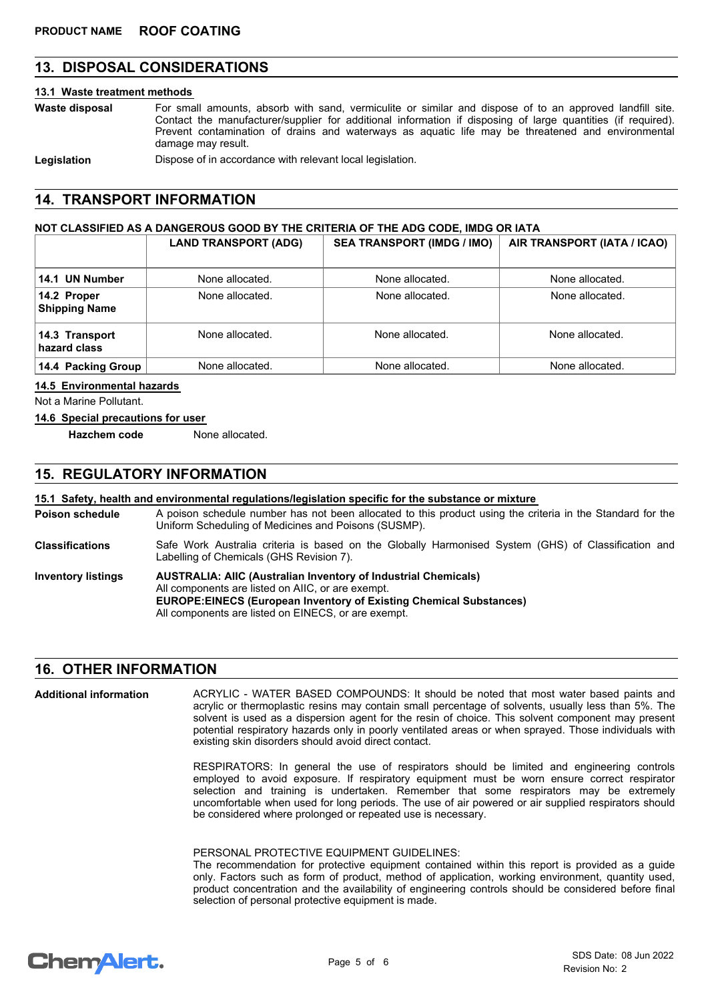# **13. DISPOSAL CONSIDERATIONS**

## **13.1 Waste treatment methods**

| Waste disposal | For small amounts, absorb with sand, vermiculite or similar and dispose of to an approved landfill site.<br>Contact the manufacturer/supplier for additional information if disposing of large quantities (if required).<br>Prevent contamination of drains and waterways as aquatic life may be threatened and environmental<br>damage may result. |  |
|----------------|-----------------------------------------------------------------------------------------------------------------------------------------------------------------------------------------------------------------------------------------------------------------------------------------------------------------------------------------------------|--|
| Legislation    | Dispose of in accordance with relevant local legislation.                                                                                                                                                                                                                                                                                           |  |

## **14. TRANSPORT INFORMATION**

#### **NOT CLASSIFIED AS A DANGEROUS GOOD BY THE CRITERIA OF THE ADG CODE, IMDG OR IATA**

|                                     | <b>LAND TRANSPORT (ADG)</b> | <b>SEA TRANSPORT (IMDG / IMO)</b> | AIR TRANSPORT (IATA / ICAO) |
|-------------------------------------|-----------------------------|-----------------------------------|-----------------------------|
| 14.1 UN Number                      | None allocated.             | None allocated.                   | None allocated.             |
| 14.2 Proper<br><b>Shipping Name</b> | None allocated.             | None allocated.                   | None allocated.             |
| 14.3 Transport<br>hazard class      | None allocated.             | None allocated.                   | None allocated.             |
| 14.4 Packing Group                  | None allocated.             | None allocated.                   | None allocated.             |

#### **14.5 Environmental hazards**

Not a Marine Pollutant.

#### **14.6 Special precautions for user**

**Hazchem code** None allocated.

## **15. REGULATORY INFORMATION**

#### **15.1 Safety, health and environmental regulations/legislation specific for the substance or mixture**

A poison schedule number has not been allocated to this product using the criteria in the Standard for the Uniform Scheduling of Medicines and Poisons (SUSMP). **Poison schedule**

- Safe Work Australia criteria is based on the Globally Harmonised System (GHS) of Classification and Labelling of Chemicals (GHS Revision 7). **Classifications**
- **AUSTRALIA: AIIC (Australian Inventory of Industrial Chemicals)** All components are listed on AIIC, or are exempt. **EUROPE:EINECS (European Inventory of Existing Chemical Substances)** All components are listed on EINECS, or are exempt. **Inventory listings**

## **16. OTHER INFORMATION**

ACRYLIC - WATER BASED COMPOUNDS: It should be noted that most water based paints and acrylic or thermoplastic resins may contain small percentage of solvents, usually less than 5%. The solvent is used as a dispersion agent for the resin of choice. This solvent component may present potential respiratory hazards only in poorly ventilated areas or when sprayed. Those individuals with existing skin disorders should avoid direct contact. **Additional information**

> RESPIRATORS: In general the use of respirators should be limited and engineering controls emploved to avoid exposure. If respiratory equipment must be worn ensure correct respirator selection and training is undertaken. Remember that some respirators may be extremely uncomfortable when used for long periods. The use of air powered or air supplied respirators should be considered where prolonged or repeated use is necessary.

#### PERSONAL PROTECTIVE EQUIPMENT GUIDELINES:

The recommendation for protective equipment contained within this report is provided as a guide only. Factors such as form of product, method of application, working environment, quantity used, product concentration and the availability of engineering controls should be considered before final selection of personal protective equipment is made.

# **ChemAlert.**